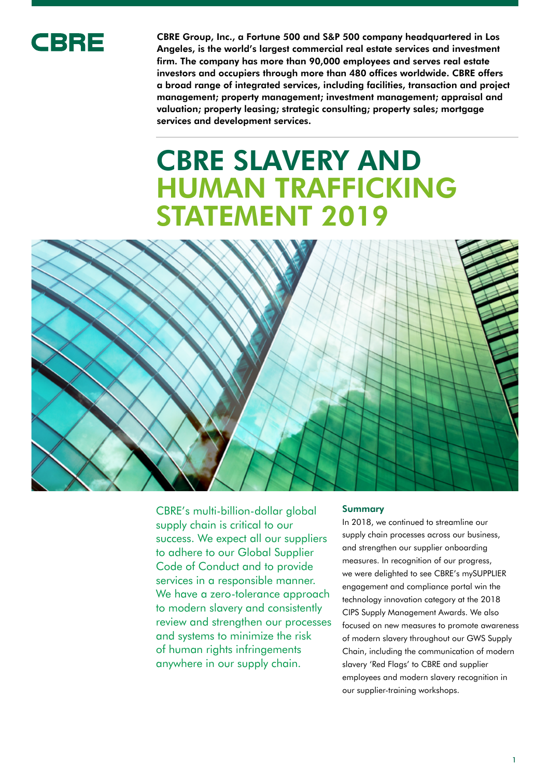

CBRE Group, Inc., a Fortune 500 and S&P 500 company headquartered in Los Angeles, is the world's largest commercial real estate services and investment firm. The company has more than 90,000 employees and serves real estate investors and occupiers through more than 480 offices worldwide. CBRE offers a broad range of integrated services, including facilities, transaction and project management; property management; investment management; appraisal and valuation; property leasing; strategic consulting; property sales; mortgage services and development services.

# CBRE SLAVERY AND HUMAN TRAFFICKING STATEMENT 2019



CBRE's multi-billion-dollar global supply chain is critical to our success. We expect all our suppliers to adhere to our Global Supplier Code of Conduct and to provide services in a responsible manner. We have a zero-tolerance approach to modern slavery and consistently review and strengthen our processes and systems to minimize the risk of human rights infringements anywhere in our supply chain.

## Summary

In 2018, we continued to streamline our supply chain processes across our business, and strengthen our supplier onboarding measures. In recognition of our progress, we were delighted to see CBRE's mySUPPLIER engagement and compliance portal win the technology innovation category at the 2018 CIPS Supply Management Awards. We also focused on new measures to promote awareness of modern slavery throughout our GWS Supply Chain, including the communication of modern slavery 'Red Flags' to CBRE and supplier employees and modern slavery recognition in our supplier-training workshops.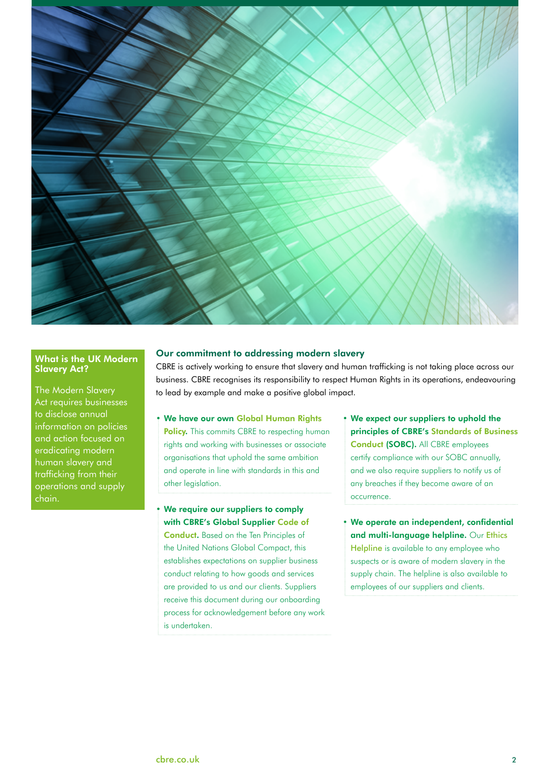

# What is the UK Modern Slavery Act?

The Modern Slavery Act requires businesses to disclose annual information on policies and action focused on eradicating modern human slavery and trafficking from their operations and supply chain.

## Our commitment to addressing modern slavery

CBRE is actively working to ensure that slavery and human trafficking is not taking place across our business. CBRE recognises its responsibility to respect Human Rights in its operations, endeavouring to lead by example and make a positive global impact.

- We have our own Global Human Rights [Policy.](https://www.cbre.com/about/corporate-responsibility/pillars/ethics-and-compliance) This commits CBRE to respecting human rights and working with businesses or associate organisations that uphold the same ambition and operate in line with standards in this and other legislation.
- We require our suppliers to comply with CBRE's Global [Supplier Code of](https://www.cbre.com/about/corporate-responsibility/pillars/procurement/supplier-code-of-conduct)  **[Conduct.](https://www.cbre.com/about/corporate-responsibility/pillars/procurement/supplier-code-of-conduct)** Based on the Ten Principles of the United Nations Global Compact, this establishes expectations on supplier business conduct relating to how goods and services are provided to us and our clients. Suppliers receive this document during our onboarding process for acknowledgement before any work is undertaken.
- We expect our suppliers to uphold the principles of CBRE's [Standards of Business](https://www.cbre.com/about/corporate-responsibility/pillars/ethics-and-compliance)  [Conduct \(](https://www.cbre.com/about/corporate-responsibility/pillars/ethics-and-compliance)SOBC). All CBRE employees certify compliance with our SOBC annually, and we also require suppliers to notify us of any breaches if they become aware of an occurrence.
- We operate an independent, confidential and multi-language helpline. Our [Ethics](https://www.cbre.com/about/corporate-responsibility/pillars/ethics-and-compliance)  [Helpline](https://www.cbre.com/about/corporate-responsibility/pillars/ethics-and-compliance) is available to any employee who suspects or is aware of modern slavery in the supply chain. The helpline is also available to employees of our suppliers and clients.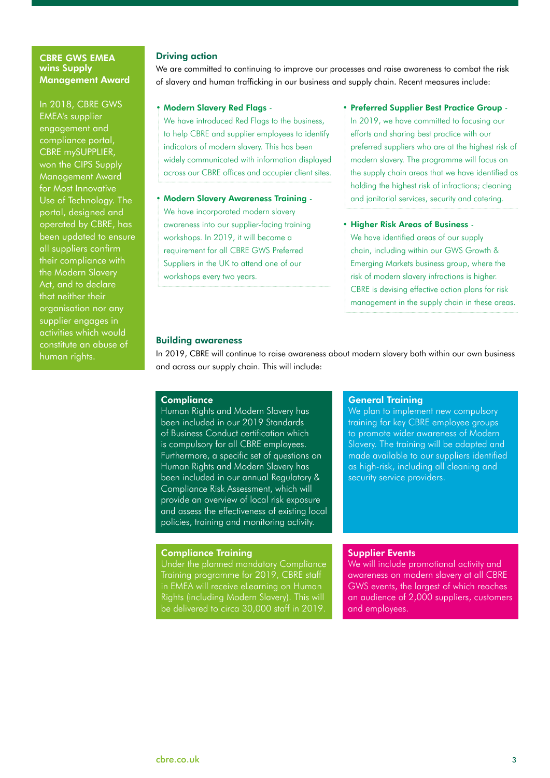# CBRE GWS EMEA wins Supply Management Award

In 2018, CBRE GWS EMEA's supplier engagement and compliance portal, CBRE mySUPPLIER, won the CIPS Supply Management Award for Most Innovative Use of Technology. The portal, designed and operated by CBRE, has been updated to ensure all suppliers confirm their compliance with the Modern Slavery Act, and to declare that neither their organisation nor any supplier engages in activities which would constitute an abuse of human rights.

## Driving action

We are committed to continuing to improve our processes and raise awareness to combat the risk of slavery and human trafficking in our business and supply chain. Recent measures include:

## • Modern Slavery Red Flags -

We have introduced Red Flags to the business, to help CBRE and supplier employees to identify indicators of modern slavery. This has been widely communicated with information displayed across our CBRE offices and occupier client sites.

## • Modern Slavery Awareness Training -

We have incorporated modern slavery awareness into our supplier-facing training workshops. In 2019, it will become a requirement for all CBRE GWS Preferred Suppliers in the UK to attend one of our workshops every two years.

## • Preferred Supplier Best Practice Group -

In 2019, we have committed to focusing our efforts and sharing best practice with our preferred suppliers who are at the highest risk of modern slavery. The programme will focus on the supply chain areas that we have identified as holding the highest risk of infractions; cleaning and janitorial services, security and catering.

#### • Higher Risk Areas of Business -

We have identified areas of our supply chain, including within our GWS Growth & Emerging Markets business group, where the risk of modern slavery infractions is higher. CBRE is devising effective action plans for risk management in the supply chain in these areas.

## Building awareness

In 2019, CBRE will continue to raise awareness about modern slavery both within our own business and across our supply chain. This will include:

#### **Compliance**

Human Rights and Modern Slavery has been included in our 2019 Standards of Business Conduct certification which is compulsory for all CBRE employees. Furthermore, a specific set of questions on Human Rights and Modern Slavery has been included in our annual Regulatory & Compliance Risk Assessment, which will provide an overview of local risk exposure and assess the effectiveness of existing local policies, training and monitoring activity.

## Compliance Training

Under the planned mandatory Compliance Training programme for 2019, CBRE staff in EMEA will receive eLearning on Human Rights (including Modern Slavery). This will be delivered to circa 30,000 staff in 2019.

## General Training

We plan to implement new compulsory training for key CBRE employee groups to promote wider awareness of Modern Slavery. The training will be adapted and made available to our suppliers identified as high-risk, including all cleaning and security service providers.

# Supplier Events

We will include promotional activity and awareness on modern slavery at all CBRE GWS events, the largest of which reaches an audience of 2,000 suppliers, customers and employees.